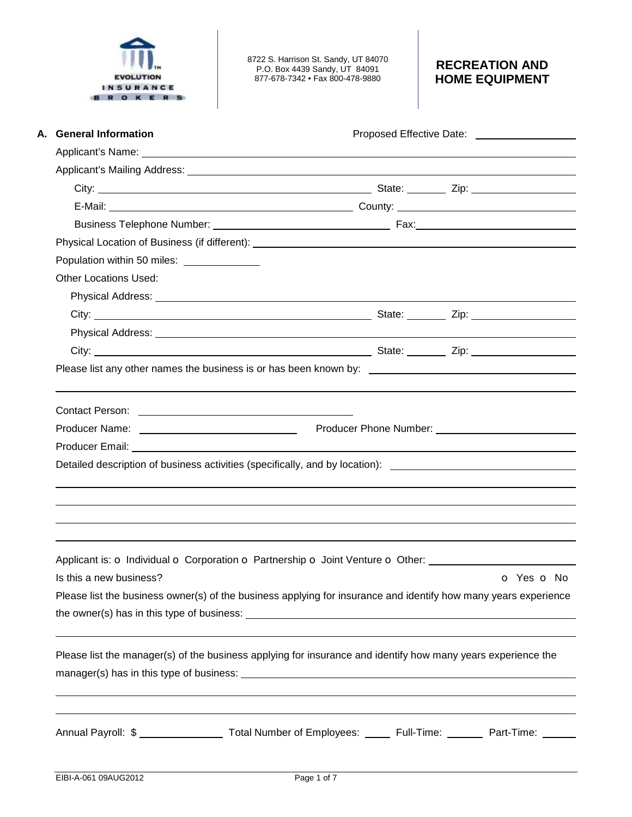

8722 S. Harrison St. Sandy, UT 84070 P.O. Box 4439 Sandy, UT 84091 877-678-7342 • Fax 800-478-9880

# **RECREATION AND HOME EQUIPMENT**

|                                                                                                                                                                                                                                      | Proposed Effective Date: _____________________ |
|--------------------------------------------------------------------------------------------------------------------------------------------------------------------------------------------------------------------------------------|------------------------------------------------|
|                                                                                                                                                                                                                                      |                                                |
|                                                                                                                                                                                                                                      |                                                |
|                                                                                                                                                                                                                                      |                                                |
|                                                                                                                                                                                                                                      |                                                |
|                                                                                                                                                                                                                                      |                                                |
|                                                                                                                                                                                                                                      |                                                |
| Population within 50 miles: ______________                                                                                                                                                                                           |                                                |
| <b>Other Locations Used:</b>                                                                                                                                                                                                         |                                                |
| Physical Address: <u>New York: New York: New York: New York: New York: New York: New York: New York: New York: New York: New York: New York: New York: New York: New York: New York: New York: New York: New York: New York: New</u> |                                                |
|                                                                                                                                                                                                                                      |                                                |
|                                                                                                                                                                                                                                      |                                                |
|                                                                                                                                                                                                                                      |                                                |
|                                                                                                                                                                                                                                      |                                                |
|                                                                                                                                                                                                                                      |                                                |
| Producer Name: <u>Contract Communication</u> Producer Phone Number: Communication Communication Producer Phone Number:                                                                                                               |                                                |
|                                                                                                                                                                                                                                      |                                                |
| Detailed description of business activities (specifically, and by location): ________________________________                                                                                                                        |                                                |
|                                                                                                                                                                                                                                      |                                                |
| Applicant is: o Individual o Corporation o Partnership o Joint Venture o Other:                                                                                                                                                      |                                                |
| Is this a new business?                                                                                                                                                                                                              | O Yes O No                                     |
| Please list the business owner(s) of the business applying for insurance and identify how many years experience                                                                                                                      |                                                |
| Please list the manager(s) of the business applying for insurance and identify how many years experience the                                                                                                                         |                                                |
|                                                                                                                                                                                                                                      |                                                |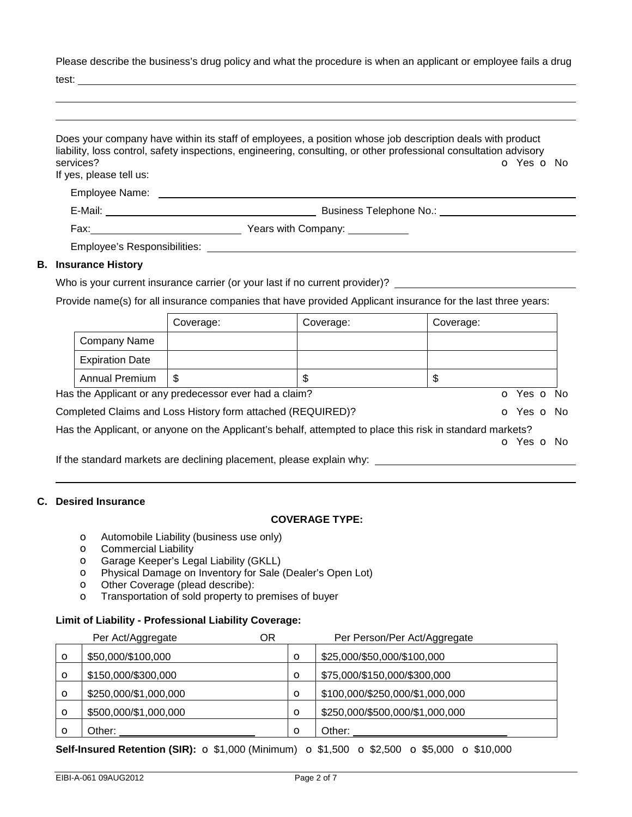Please describe the business's drug policy and what the procedure is when an applicant or employee fails a drug

test:

| If yes, please tell us:     |                                                        |                                                                                                              |           | O Yes O No |
|-----------------------------|--------------------------------------------------------|--------------------------------------------------------------------------------------------------------------|-----------|------------|
|                             |                                                        |                                                                                                              |           |            |
|                             |                                                        |                                                                                                              |           |            |
|                             |                                                        |                                                                                                              |           |            |
|                             |                                                        |                                                                                                              |           |            |
| <b>B.</b> Insurance History |                                                        |                                                                                                              |           |            |
|                             |                                                        |                                                                                                              |           |            |
|                             |                                                        | Who is your current insurance carrier (or your last if no current provider)?                                 |           |            |
|                             |                                                        | Provide name(s) for all insurance companies that have provided Applicant insurance for the last three years: |           |            |
|                             | Coverage:                                              | Coverage:                                                                                                    | Coverage: |            |
| Company Name                |                                                        |                                                                                                              |           |            |
| <b>Expiration Date</b>      |                                                        |                                                                                                              |           |            |
| <b>Annual Premium</b>       | \$                                                     | $\mathfrak{S}$                                                                                               | \$        |            |
|                             | Has the Applicant or any predecessor ever had a claim? |                                                                                                              |           | o Yes o No |

## **C. Desired Insurance**

#### **COVERAGE TYPE:**

- o Automobile Liability (business use only)
- o Commercial Liability
- o Garage Keeper's Legal Liability (GKLL)
- o Physical Damage on Inventory for Sale (Dealer's Open Lot)
- o Other Coverage (plead describe):
- o Transportation of sold property to premises of buyer

## **Limit of Liability - Professional Liability Coverage:**

|   | Per Act/Aggregate     | ΟR |         | Per Person/Per Act/Aggregate    |
|---|-----------------------|----|---------|---------------------------------|
| O | \$50,000/\$100,000    |    | $\circ$ | \$25,000/\$50,000/\$100,000     |
| O | \$150,000/\$300,000   |    | $\circ$ | \$75,000/\$150,000/\$300,000    |
| O | \$250,000/\$1,000,000 |    | $\circ$ | \$100,000/\$250,000/\$1,000,000 |
| O | \$500,000/\$1,000,000 |    | $\circ$ | \$250,000/\$500,000/\$1,000,000 |
| Ω | Other:                |    | $\circ$ | Other:                          |

### **Self-Insured Retention (SIR):**  $\circ$  \$1,000 (Minimum)  $\circ$  \$1,500  $\circ$  \$2,500  $\circ$  \$5,000  $\circ$  \$10,000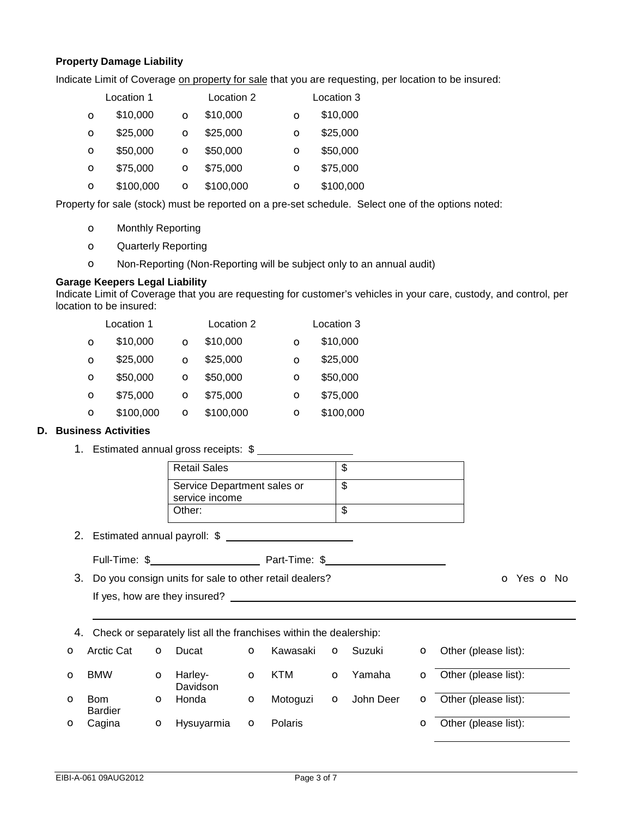### **Property Damage Liability**

Indicate Limit of Coverage on property for sale that you are requesting, per location to be insured:

|          | Location 1 |   | Location 2 |          | Location 3 |  |
|----------|------------|---|------------|----------|------------|--|
| $\circ$  | \$10,000   |   | \$10,000   | $\circ$  | \$10,000   |  |
| $\Omega$ | \$25,000   |   | \$25,000   | $\Omega$ | \$25,000   |  |
| $\Omega$ | \$50,000   |   | \$50,000   | $\circ$  | \$50,000   |  |
| $\Omega$ | \$75,000   |   | \$75,000   | O        | \$75,000   |  |
| $\circ$  | \$100,000  | Ο | \$100,000  | O        | \$100,000  |  |

Property for sale (stock) must be reported on a pre-set schedule. Select one of the options noted:

- o Monthly Reporting
- o Quarterly Reporting
- o Non-Reporting (Non-Reporting will be subject only to an annual audit)

#### **Garage Keepers Legal Liability**

Indicate Limit of Coverage that you are requesting for customer's vehicles in your care, custody, and control, per location to be insured:

|          | Location 1 |         | Location 2 |          | Location 3 |
|----------|------------|---------|------------|----------|------------|
| $\Omega$ | \$10,000   |         | \$10,000   | O        | \$10,000   |
| $\Omega$ | \$25,000   |         | \$25,000   | $\Omega$ | \$25,000   |
| $\circ$  | \$50,000   |         | \$50,000   | $\Omega$ | \$50,000   |
| $\circ$  | \$75,000   | $\circ$ | \$75,000   | $\Omega$ | \$75,000   |
| $\circ$  | \$100,000  |         | \$100,000  | Ο        | \$100,000  |

### **D. Business Activities**

1. Estimated annual gross receipts: \$

| <b>Retail Sales</b>                           |   |
|-----------------------------------------------|---|
| Service Department sales or<br>service income | Œ |
| Other:                                        |   |

2. Estimated annual payroll: \$

Full-Time: \$ Part-Time: \$

3. Do you consign units for sale to other retail dealers? **o CO** Yes **o** No

If yes, how are they insured?

4. Check or separately list all the franchises within the dealership:

|              | <b>O</b> Arctic Cat   | O | Ducat               | O       | Kawasaki |          | <b>O</b> Suzuki    | <b>o</b> Other (please list): |
|--------------|-----------------------|---|---------------------|---------|----------|----------|--------------------|-------------------------------|
| $\Omega$     | <b>BMW</b>            | O | Harley-<br>Davidson | O       | KTM      | $\Omega$ | Yamaha             | <b>o</b> Other (please list): |
| $\mathbf{o}$ | Bom<br><b>Bardier</b> | O | Honda               | $\circ$ | Motoguzi |          | <b>O</b> John Deer | <b>o</b> Other (please list): |
| $\mathbf{O}$ | Cagina                | O | Hysuyarmia          | $\circ$ | Polaris  |          |                    | O Other (please list):        |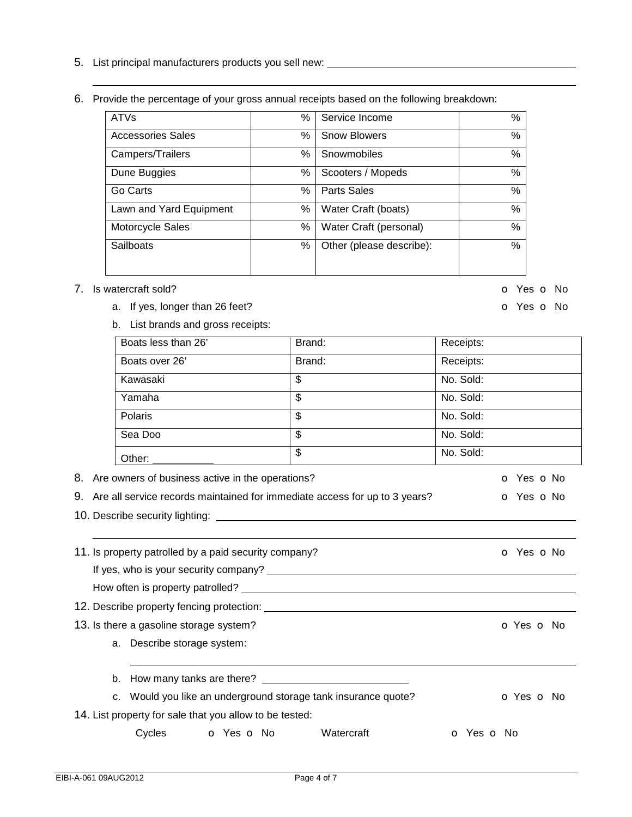- 5. List principal manufacturers products you sell new:
- 6. Provide the percentage of your gross annual receipts based on the following breakdown:

| <b>ATVs</b>              | % | Service Income           | %    |
|--------------------------|---|--------------------------|------|
| <b>Accessories Sales</b> | % | <b>Snow Blowers</b>      | %    |
| Campers/Trailers         | % | Snowmobiles              | %    |
| Dune Buggies             | % | Scooters / Mopeds        | $\%$ |
| Go Carts                 | % | <b>Parts Sales</b>       | %    |
| Lawn and Yard Equipment  | % | Water Craft (boats)      | %    |
| Motorcycle Sales         | % | Water Craft (personal)   | $\%$ |
| Sailboats                | % | Other (please describe): | $\%$ |
|                          |   |                          |      |

### 7. Is watercraft sold? Contact Sold 2. It is a set of the set of the set of the set of the set of the set of the set of the set of the set of the set of the set of the set of the set of the set of the set of the set of the

- a. If yes, longer than 26 feet? **o** Yes **o** No
- b. List brands and gross receipts:

| Brand: | Receipts: |
|--------|-----------|
| Brand: | Receipts: |
| \$     | No. Sold: |
| \$     | No. Sold: |
| \$     | No. Sold: |
| \$     | No. Sold: |
| \$     | No. Sold: |
|        |           |

- 8. Are owners of business active in the operations? Canadian Control of Yes on No
- 9. Are all service records maintained for immediate access for up to 3 years?  $\bullet$  Yes  $\bullet$  No
- 10. Describe security lighting:

11. Is property patrolled by a paid security company? The company only the company of Yes on No If yes, who is your security company? How often is property patrolled?

12. Describe property fencing protection:

13. Is there a gasoline storage system? Contact the contact of the contact of the contact of the contact of the contact of the contact of the contact of the contact of the contact of the contact of the contact of the conta

a. Describe storage system:

b. How many tanks are there?

c. Would you like an underground storage tank insurance quote? **o** Yes **o** No

14. List property for sale that you allow to be tested:

Cycles **o** Yes **o** No Watercraft **o** Yes **o** No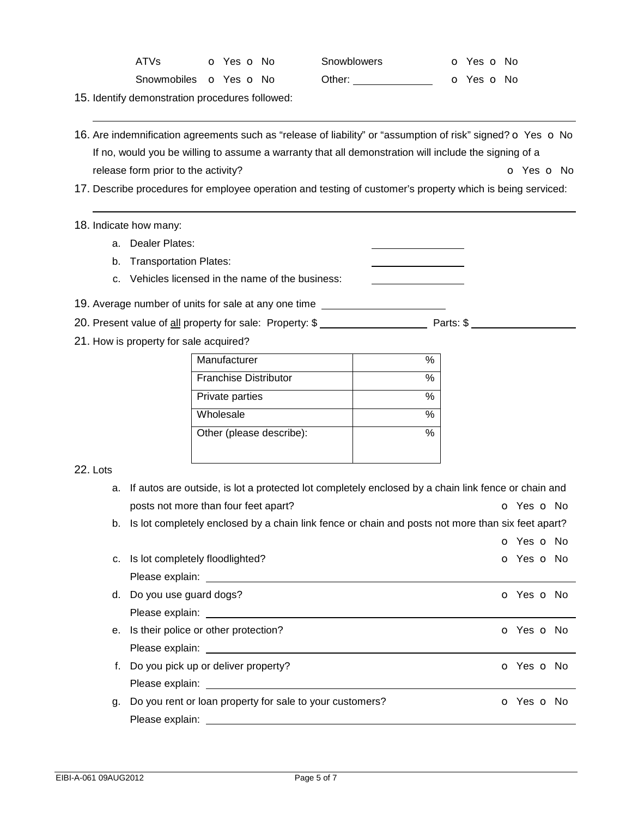| ATVs | o Yes o No                           | <b>Snowblowers</b> | o Yes o No |
|------|--------------------------------------|--------------------|------------|
|      | Snowmobiles <b>o</b> Yes <b>o</b> No | Other:             | o Yes o No |

15. Identify demonstration procedures followed:

- 16. Are indemnification agreements such as "release of liability" or "assumption of risk" signed? o Yes o No If no, would you be willing to assume a warranty that all demonstration will include the signing of a release form prior to the activity? The contraction of the set of No. The contraction of No. The Contraction of No
- 17. Describe procedures for employee operation and testing of customer's property which is being serviced:

#### 18. Indicate how many:

- a. Dealer Plates:
- b. Transportation Plates:
- c. Vehicles licensed in the name of the business:
- 19. Average number of units for sale at any one time

20. Present value of all property for sale: Property: \$ \_\_\_\_\_\_\_\_\_\_\_\_\_\_\_\_\_\_\_\_\_\_\_\_\_ Parts: \$ \_\_\_\_\_\_\_\_\_\_\_\_\_\_\_\_\_\_\_

21. How is property for sale acquired?

| Manufacturer                 |   |
|------------------------------|---|
| <b>Franchise Distributor</b> | % |
| Private parties              |   |
| Wholesale                    |   |
| Other (please describe):     |   |
|                              |   |

### 22. Lots

|    | a. If autos are outside, is lot a protected lot completely enclosed by a chain link fence or chain and         |                          |
|----|----------------------------------------------------------------------------------------------------------------|--------------------------|
|    | posts not more than four feet apart?                                                                           | <b>o</b> Yes <b>o</b> No |
|    | b. Is lot completely enclosed by a chain link fence or chain and posts not more than six feet apart?           |                          |
|    |                                                                                                                | o Yes o No               |
|    | c. Is lot completely floodlighted?                                                                             | <b>o</b> Yes <b>o</b> No |
|    |                                                                                                                |                          |
|    | d. Do you use guard dogs?                                                                                      | <b>o</b> Yes <b>o</b> No |
|    |                                                                                                                |                          |
|    | e. Is their police or other protection?                                                                        | O Yes O No               |
|    | Please explain: University of the set of the set of the set of the set of the set of the set of the set of the |                          |
|    | f. Do you pick up or deliver property?                                                                         | o Yes o No               |
|    |                                                                                                                |                          |
| g. | Do you rent or loan property for sale to your customers?                                                       | o Yes o No               |
|    |                                                                                                                |                          |
|    |                                                                                                                |                          |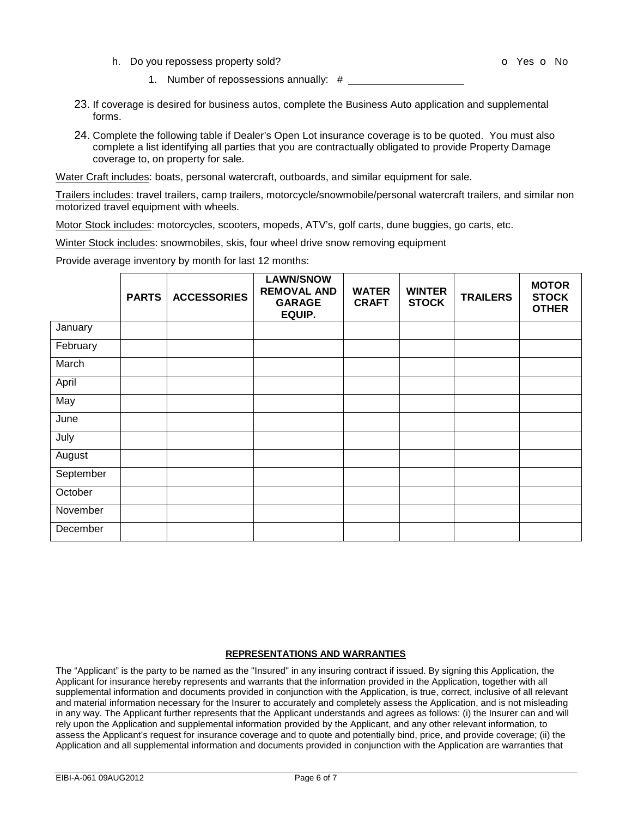h. Do you repossess property sold? The state of the state of the SNO of Yes of No

- 1. Number of repossessions annually: #
- 23. If coverage is desired for business autos, complete the Business Auto application and supplemental forms.
- 24. Complete the following table if Dealer's Open Lot insurance coverage is to be quoted. You must also complete a list identifying all parties that you are contractually obligated to provide Property Damage coverage to, on property for sale.

Water Craft includes: boats, personal watercraft, outboards, and similar equipment for sale.

Trailers includes: travel trailers, camp trailers, motorcycle/snowmobile/personal watercraft trailers, and similar non motorized travel equipment with wheels.

Motor Stock includes: motorcycles, scooters, mopeds, ATV's, golf carts, dune buggies, go carts, etc.

Winter Stock includes: snowmobiles, skis, four wheel drive snow removing equipment

Provide average inventory by month for last 12 months:

|           | <b>PARTS</b> | <b>ACCESSORIES</b> | <b>LAWN/SNOW</b><br><b>REMOVAL AND</b><br><b>GARAGE</b><br>EQUIP. | <b>WATER</b><br><b>CRAFT</b> | <b>WINTER</b><br><b>STOCK</b> | <b>TRAILERS</b> | <b>MOTOR</b><br><b>STOCK</b><br><b>OTHER</b> |
|-----------|--------------|--------------------|-------------------------------------------------------------------|------------------------------|-------------------------------|-----------------|----------------------------------------------|
| January   |              |                    |                                                                   |                              |                               |                 |                                              |
| February  |              |                    |                                                                   |                              |                               |                 |                                              |
| March     |              |                    |                                                                   |                              |                               |                 |                                              |
| April     |              |                    |                                                                   |                              |                               |                 |                                              |
| May       |              |                    |                                                                   |                              |                               |                 |                                              |
| June      |              |                    |                                                                   |                              |                               |                 |                                              |
| July      |              |                    |                                                                   |                              |                               |                 |                                              |
| August    |              |                    |                                                                   |                              |                               |                 |                                              |
| September |              |                    |                                                                   |                              |                               |                 |                                              |
| October   |              |                    |                                                                   |                              |                               |                 |                                              |
| November  |              |                    |                                                                   |                              |                               |                 |                                              |
| December  |              |                    |                                                                   |                              |                               |                 |                                              |

#### **REPRESENTATIONS AND WARRANTIES**

The "Applicant" is the party to be named as the "Insured" in any insuring contract if issued. By signing this Application, the Applicant for insurance hereby represents and warrants that the information provided in the Application, together with all supplemental information and documents provided in conjunction with the Application, is true, correct, inclusive of all relevant and material information necessary for the Insurer to accurately and completely assess the Application, and is not misleading in any way. The Applicant further represents that the Applicant understands and agrees as follows: (i) the Insurer can and will rely upon the Application and supplemental information provided by the Applicant, and any other relevant information, to assess the Applicant's request for insurance coverage and to quote and potentially bind, price, and provide coverage; (ii) the Application and all supplemental information and documents provided in conjunction with the Application are warranties that